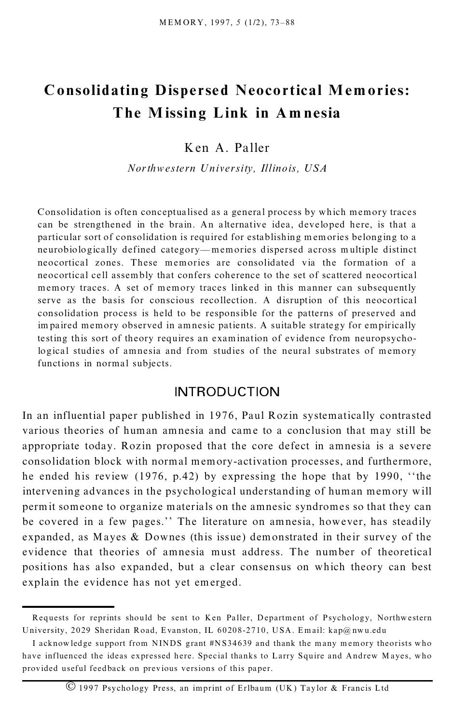# **C onsolidating Dispersed Neocortical M em ories: The M issing Link in Am nesia**

Ken A. Paller

*Northwestern University, Illinois, USA*

Consolidation is often conceptualised as a general process by which memory traces can be strengthened in the brain. An alternative idea, developed here, is that a particular sort of consolidation is required for establishing m em ories belonging to a neurobiologically defined category—memories dispersed across multiple distinct neocortical zones. These memories are consolidated via the formation of a neocortical cell assem bly that confers coherence to the set of scattered neocortical memory traces. A set of memory traces linked in this manner can subsequently serve as the basis for conscious recollection. A disruption of this neocortical consolidation process is held to be responsible for the patterns of preserved and impaired memory observed in amnesic patients. A suitable strategy for empirically testing this sort of theory requires an exam ination of evidence from neuropsychological studies of amnesia and from studies of the neural substrates of memory functions in normal subjects.

#### INTRODUCTION

In an influential paper published in 1976, Paul Rozin systematically contrasted various theories of human amnesia and came to a conclusion that may still be appropriate today. Rozin proposed that the core defect in amnesia is a severe consolidation block with norm al m em ory-activation processes, and furthermore, he ended his review  $(1976, p.42)$  by expressing the hope that by 1990, "the intervening advances in the psychological understanding of human memory will perm it someone to organize m aterials on the amnesic syndromes so that they can be covered in a few pages.' ' The literature on am nesia, however, has steadily expanded, as M ayes & Downes (this issue) dem onstrated in their survey of the evidence that theories of amnesia must address. The number of theoretical positions has also expanded, but a clear consensus on which theory can best explain the evidence has not yet em erged.

Requests for reprints should be sent to Ken Paller, Department of Psychology, Northwestern University, 2029 Sheridan Road, Evanston, IL 60208-2710, USA. Email: kap@nwu.edu

I acknowledge support from NINDS grant #NS34639 and thank the many memory theorists who received a represent the m any m em ory theorists who received a represent the m any m em ory theorists who h ave influenced the ideas expressed here. Special thanks to Larry Squire and Andrew Mayes, who have influenced the ideas expressed here. Special thanks to Larry Squire and Andrew Mayes, who have influenced the ideas expressed here. Special thanks to Larry Squire and Andrew Mayes, who<br>provided useful feedback on previous versions of this paper.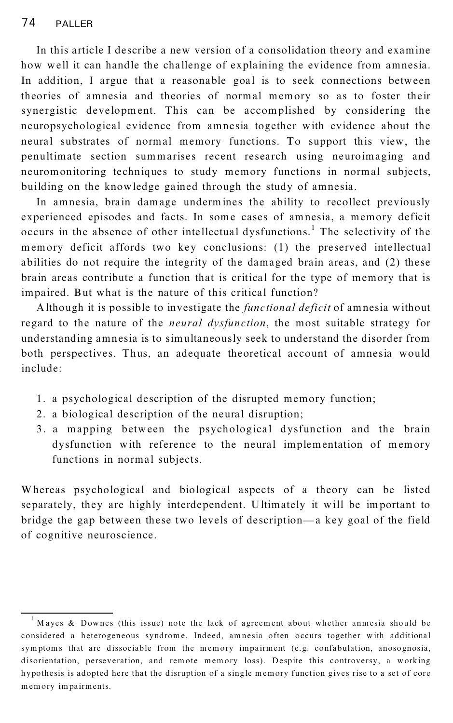In this article I describe a new version of a consolidation theory and examine how well it can handle the challenge of explaining the evidence from amnesia. In addition, I argue that a reasonable goal is to seek connections between theories of amnesia and theories of normal memory so as to foster their synergistic development. This can be accomplished by considering the neuropsychological evidence from amnesia together with evidence about the neural substrates of norm al memory functions. To support this view, the penultimate section sum m arises recent research using neuroim aging and neurom onitoring techniques to study memory functions in normal subjects, building on the knowledge gained through the study of amnesia.

In amnesia, brain damage undermines the ability to recollect previously experienced episodes and facts. In some cases of amnesia, a memory deficit occurs in the absence of other intellectual dysfunctions.<sup>1</sup> The selectivity of the memory deficit affords two key conclusions: (1) the preserved intellectual abilities do not require the integrity of the damaged brain areas, and (2) these brain areas contribute a function that is critical for the type of memory that is impaired. But what is the nature of this critical function?

Although it is possible to investigate the *functional deficit* of am nesia without regard to the nature of the *neural dysfunction*, the most suitable strategy for understanding amn esia is to simultaneously seek to understand the disorder from both perspectives. Thus, an adequate theoretical account of amnesia would include:

- 1. a psychological description of the disrupted memory function;
- 2. a biological description of the neural disruption;
- 3. a mapping between the psychological dysfunction and the brain dysfunction with reference to the neural implementation of memory functions in normal subjects.

W hereas psychological and biological aspects of a theory can be listed separately, they are highly interdependent. Ultim ately it will be im portant to bridge the gap between these two levels of description—a key goal of the field of cognitive neuroscience.

 $1$  M ayes & Downes (this issue) note the lack of agreement about whether anmesia should be anyon a both (this hold) have the them of agreement about habital thinks them of considered a heterogeneous syndrome. Indeed, amnesia often occurs together with additional symptoms that are dissociable from the memory impa symptoms that are dissociable from the memory impairment (e.g. confabulation, anosognosia, disorientation, perseveration, and remote memory loss). Despite this controversy, a working hypothesis is adopted here that the dis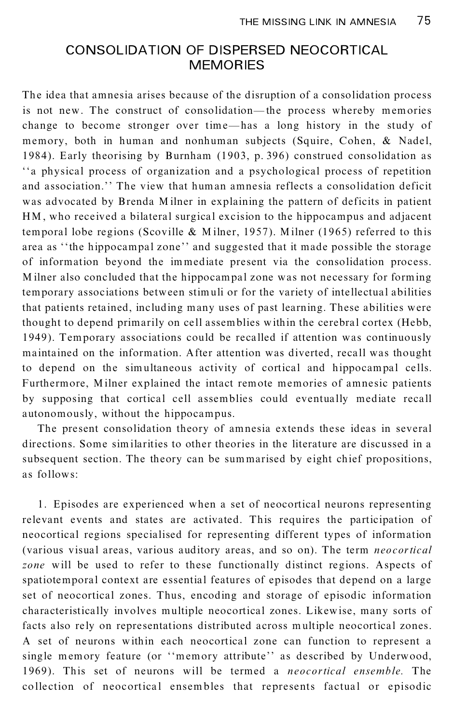## CONSOLIDATION OF DISPERSED NEOCORTICAL **MEMORIES**

The idea that amnesia arises because of the disruption of a consolidation process is not new. The construct of consolidation—the process whereby memories change to become stronger over time—has a long history in the study of memory, both in human and nonhuman subjects (Squire, Cohen, & Nadel, 1984). Early theorising by Burnham (1903, p. 396) construed consolidation as ``a physical process of organization and a psychological process of repetition and association.' ' The view that hum an amnesia reflects a consolidation deficit was advocated by Brenda M ilner in explaining the pattern of deficits in patient HM , who received a bilateral surgical excision to the hippocampus and adjacent tem poral lobe regions (Scoville & M ilner, 1957). Milner (1965) referred to this area as "the hippocampal zone" and suggested that it made possible the storage of information beyond the im mediate present via the consolidation process. M ilner also concluded that the hippocam palzone was not necessary for forming tem porary associations between stim uli or for the variety of intellectual abilities that patients retained, including many uses of past learning. These abilities were thought to depend primarily on cell assem blies within the cerebral cortex (Hebb, 1949). Tem porary associations could be recalled if attention was continuously maintained on the information. After attention was diverted, recall was thought to depend on the simultaneous activity of cortical and hippocampal cells. Furthermore, Milner explained the intact rem ote memories of amnesic patients by supposing that cortical cell assemblies could eventually mediate recall autonomously, without the hippocampus.

The present consolidation theory of amnesia extends these ideas in several directions. Some sim ilarities to other theories in the literature are discussed in a subsequent section. The theory can be sum marised by eight chief propositions, as follows:

1. Episodes are experienced when a set of neocortical neurons representing relevant events and states are activated. This requires the participation of neocortical regions specialised for representing different types of information (various visual areas, various auditory areas, and so on). The term *neocortical zone* will be used to refer to these functionally distinct regions. Aspects of spatiotemporal context are essential features of episodes that depend on a large set of neocortical zones. Thus, encoding and storage of episodic information characteristically involves multiple neocortical zones. Likewise, many sorts of facts also rely on representations distributed across m ultiple neocortical zones. A set of neurons within each neocortical zone can function to represent a single memory feature (or "memory attribute" as described by Underwood, 1969). This set of neurons will be termed a *neocortical ensemble.* The collection of neocortical ensembles that represents factual or episodic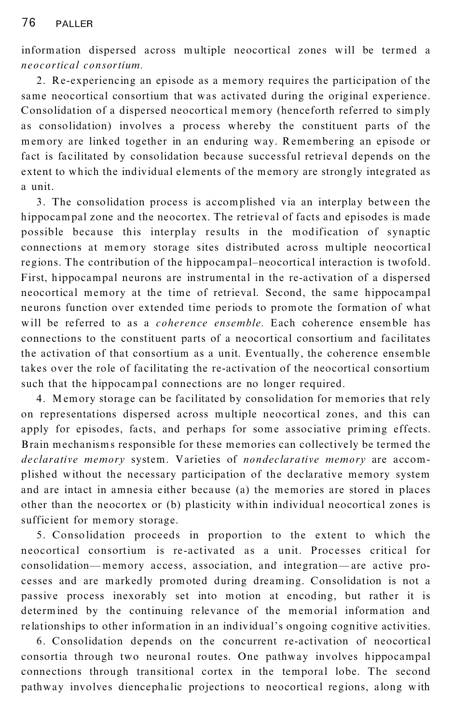inform ation dispersed across m ultiple neocortical zones will be termed a *neocortical consortium.*

2. Re-experiencing an episode as a memory requires the participation of the same neocortical consortium that was activated during the original experience. Consolidation of a dispersed neocortical memory (henceforth referred to simply as consolidation) involves a process whereby the constituent parts of the memory are linked together in an enduring way. Remembering an episode or fact is facilitated by consolidation because successful retrieval depends on the extent to which the individual elements of the memory are strongly integrated as a unit.

3. The consolidation process is accom plished via an interplay between the hippocam pal zone and the neocortex. The retrieval of facts and episodes is made possible because this interplay results in the modification of synaptic connections at memory storage sites distributed across multiple neocortical regions. The contribution of the hippocampal-neocortical interaction is twofold. First, hippocampal neurons are instrumental in the re-activation of a dispersed neocortical memory at the time of retrieval. Second, the same hippocampal neurons function over extended time periods to prom ote the form ation of what will be referred to as a *coherence ensemble.* Each coherence ensem ble has connections to the constituent parts of a neocortical consortium and facilitates the activation of that consortium as a unit. Eventually, the coherence ensemble takes over the role of facilitating the re-activation of the neocortical consortium such that the hippocampal connections are no longer required.

4. Memory storage can be facilitated by consolidation for memories that rely on representations dispersed across multiple neocortical zones, and this can apply for episodes, facts, and perhaps for some associative prim ing effects. Brain mechanism s responsible for these memories can collectively be termed the *declarative memory* system. Varieties of *nondeclarative memory* are accom plished without the necessary participation of the declarative memory system and are intact in amnesia either because (a) the memories are stored in places other than the neocortex or (b) plasticity within individual neocortical zones is sufficient for memory storage.

5. Consolidation proceeds in proportion to the extent to which the neocortical consortium is re-activated as a unit. Processes critical for consolidation—memory access, association, and integration—are active processes and are m arkedly prom oted during dreaming. Consolidation is not a passive process inexorably set into m otion at encoding, but rather it is determined by the continuing relevance of the memorial information and relationships to other inform ation in an individual' s ongoing cognitive activities.

6. Consolidation depends on the concurrent re-activation of neocortical consortia through two neuronal routes. One pathway involves hippocampal connections through transitional cortex in the temporal lobe. The second pathway involves diencephalic projections to neocortical regions, along with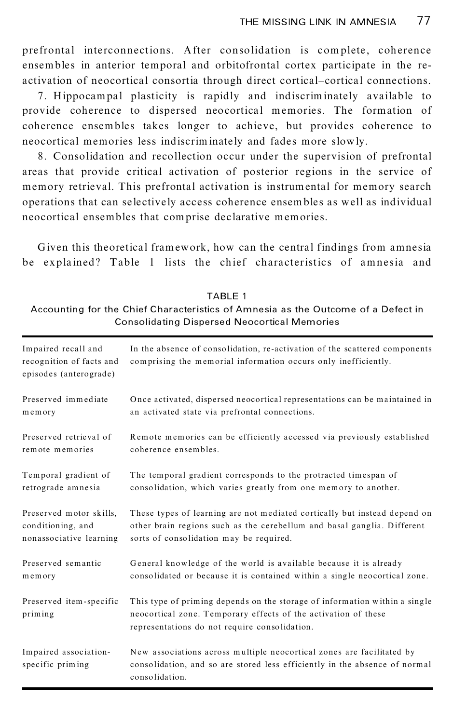prefrontal interconnections. After consolidation is complete, coherence ensembles in anterior temporal and orbitofrontal cortex participate in the reactivation of neocortical consortia through direct cortical-cortical connections.

7. Hippocampal plasticity is rapidly and indiscriminately available to provide coherence to dispersed neocortical memories. The formation of coherence ensembles takes longer to achieve, but provides coherence to neocortical memories less indiscriminately and fades more slowly.

8. Consolidation and recollection occur under the supervision of prefrontal areas that provide critical activation of posterior regions in the service of memory retrieval. This prefrontal activation is instrumental for memory search operations that can selectively access coherence ensembles as well as individual neocortical ensembles that comprise declarative memories.

Given this theoretical framework, how can the central findings from amnesia be explained? Table 1 lists the chief characteristics of amnesia and

| Impaired recall and<br>recognition of facts and<br>episodes (anterograde) | In the absence of consolidation, re-activation of the scattered components<br>comprising the memorial information occurs only inefficiently.                                                  |
|---------------------------------------------------------------------------|-----------------------------------------------------------------------------------------------------------------------------------------------------------------------------------------------|
| Preserved immediate                                                       | Once activated, dispersed neocortical representations can be maintained in                                                                                                                    |
| memory                                                                    | an activated state via prefrontal connections.                                                                                                                                                |
| Preserved retrieval of                                                    | Remote memories can be efficiently accessed via previously established                                                                                                                        |
| remote memories                                                           | coherence ensembles.                                                                                                                                                                          |
| Temporal gradient of                                                      | The temporal gradient corresponds to the protracted timespan of                                                                                                                               |
| retrograde amnesia                                                        | consolidation, which varies greatly from one memory to another.                                                                                                                               |
| Preserved motor skills,                                                   | These types of learning are not mediated cortically but instead depend on                                                                                                                     |
| conditioning, and                                                         | other brain regions such as the cerebellum and basal ganglia. Different                                                                                                                       |
| nonassociative learning                                                   | sorts of consolidation may be required.                                                                                                                                                       |
| Preserved semantic                                                        | General knowledge of the world is available because it is already                                                                                                                             |
| memory                                                                    | consolidated or because it is contained within a single neocortical zone.                                                                                                                     |
| Preserved item-specific<br>priming                                        | This type of priming depends on the storage of information within a single<br>neocortical zone. Temporary effects of the activation of these<br>representations do not require consolidation. |
| Impaired association-<br>specific priming                                 | New associations across multiple neocortical zones are facilitated by<br>consolidation, and so are stored less efficiently in the absence of normal<br>consolidation.                         |

TABLE 1 Accounting for the Chief Characteristics of Amnesia as the Outcome of a Defect in **Consolidating Dispersed Neocortical Memories**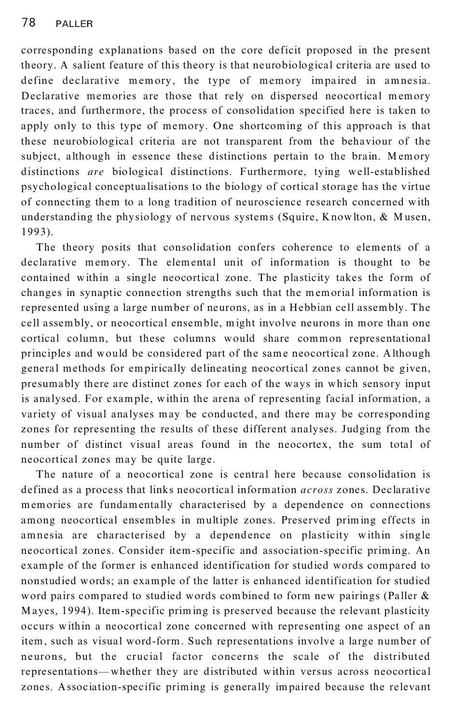corresponding explanations based on the core deficit proposed in the present theory. A salient feature of this theory is that neurobiological criteria are used to define declarative memory, the type of memory impaired in amnesia. Declarative memories are those that rely on dispersed neocortical memory traces, and furthermore, the process of consolidation specified here is taken to apply only to this type of memory. One shortcoming of this approach is that these neurobiological criteria are not transparent from the behaviour of the subject, although in essence these distinctions pertain to the brain. Memory distinctions *are* biological distinctions. Furthermore, tying well-established psychological conceptualisations to the biology of cortical storage has the virtue of connecting them to a long tradition of neuroscience research concerned with understanding the physiology of nervous systems (Squire, Knowlton, & Musen, 1993).

The theory posits that consolidation confers coherence to elements of a declarative memory. The elemental unit of information is thought to be contained within a single neocortical zone. The plasticity takes the form of changes in synaptic connection strengths such that the memorial information is represented using a large number of neurons, as in a Hebbian cell assembly. The cell assembly, or neocortical ensemble, m ight involve neurons in more than one cortical column, but these columns would share common representational principles and would be considered part of the same neocortical zone. Although general methods for em pirically delineating neocortical zones cannot be given, presumably there are distinct zones for each of the ways in which sensory input is analysed. For exam ple, within the arena of representing facial inform ation, a variety of visual analyses may be conducted, and there may be corresponding zones for representing the results of these different analyses. Judging from the number of distinct visual areas found in the neocortex, the sum total of neocortical zones may be quite large.

The nature of a neocortical zone is central here because consolidation is defined as a process that links neocortical inform ation *across* zones. Declarative memories are fundamentally characterised by a dependence on connections among neocortical ensembles in multiple zones. Preserved prim ing effects in amnesia are characterised by a dependence on plasticity within single neocortical zones. Consider item-specific and association-specific priming. An exam ple of the form er is enhanced identification for studied words compared to nonstudied words; an exam ple of the latter is enhanced identification for studied word pairs compared to studied words combined to form new pairings (Paller & M ayes, 1994). Item-specific prim ing is preserved because the relevant plasticity occurs within a neocortical zone concerned with representing one aspect of an item, such as visual word-form . Such representations involve a large number of neurons, but the crucial factor concerns the scale of the distributed representations—whether they are distributed within versus across neocortical zones. Association-specific priming is generally im paired because the relevant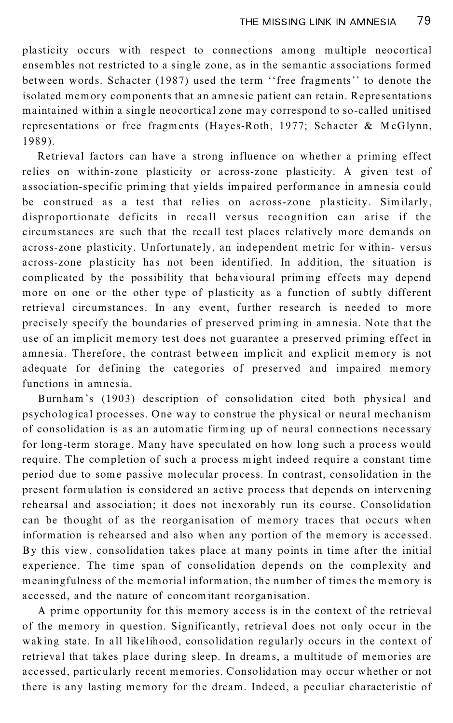plasticity occurs with respect to connections among m ultiple neocortical ensem bles not restricted to a single zone, as in the semantic associations formed between words. Schacter (1987) used the term "free fragments" to denote the isolated mem ory components that an amnesic patient can retain. Representations maintained within a single neocortical zone may correspond to so-called unitised representations or free fragments (Hayes-Roth, 1977; Schacter  $\& \text{McGlynn}$ , 1989).

Retrieval factors can have a strong influence on whether a priming effect relies on within-zone plasticity or across-zone plasticity. A given test of association-specific priming that yields im paired perform ance in am nesia could be construed as a test that relies on across-zone plasticity. Similarly, disproportionate deficits in recall versus recognition can arise if the circum stances are such that the recall test places relatively m ore dem ands on across-zone plasticity. Unfortunately, an independent metric for within- versus across-zone plasticity has not been identified. In addition, the situation is com plicated by the possibility that behavioural prim ing effects may depend more on one or the other type of plasticity as a function of subtly different retrieval circumstances. In any event, further research is needed to more precisely specify the boundaries of preserved prim ing in am nesia. Note that the use of an im plicit memory test does not guarantee a preserved priming effect in amnesia. Therefore, the contrast between implicit and explicit memory is not adequate for defining the categories of preserved and impaired memory functions in amnesia.

Burnham's (1903) description of consolidation cited both physical and psychological processes. One way to construe the physical or neural mechanism of consolidation is as an autom atic firm ing up of neural connections necessary for long-term storage. Many have speculated on how long such a process would require. The completion of such a process m ight indeed require a constant time period due to some passive molecular process. In contrast, consolidation in the present form ulation is considered an active process that depends on intervening rehearsal and association; it does not inexorably run its course. Consolidation can be thought of as the reorganisation of memory traces that occurs when information is rehearsed and also when any portion of the memory is accessed. By this view, consolidation takes place at many points in time after the initial experience. The time span of consolidation depends on the complexity and meaningfulness of the memorial information, the number of times the memory is accessed, and the nature of concom itant reorganisation.

A prim e opportunity for this memory access is in the context of the retrieval of the memory in question. Significantly, retrieval does not only occur in the waking state. In all likelihood, consolidation regularly occurs in the context of retrieval that takes place during sleep. In dreams, a multitude of memories are accessed, particularly recent memories. Consolidation may occur whether or not there is any lasting memory for the dream. Indeed, a peculiar characteristic of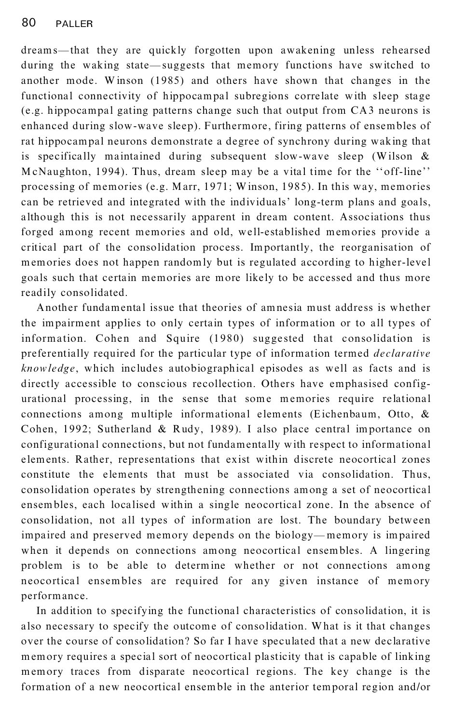dream s—that they are quickly forgotten upon awakening unless rehearsed during the waking state—suggests that memory functions have switched to another mode. W inson (1985) and others have shown that changes in the functional connectivity of hippocam pal subregions correlate with sleep stage (e.g. hippocampal gating patterns change such that output from CA3 neurons is enhanced during slow-wave sleep). Furthermore, firing patterns of ensembles of rat hippocampal neurons demonstrate a degree of synchrony during waking that is specifically maintained during subsequent slow-wave sleep (Wilson  $\&$ McNaughton, 1994). Thus, dream sleep may be a vital time for the "off-line" processing of memories (e.g. M arr, 1971; W inson, 1985). In this way, memories can be retrieved and integrated with the individuals' long-term plans and goals, although this is not necessarily apparent in dream content. Associations thus forged among recent memories and old, well-established memories provide a critical part of the consolidation process. Im portantly, the reorganisation of memories does not happen randomly but is regulated according to higher-level goals such that certain memories are m ore likely to be accessed and thus more readily consolidated.

Another fundamental issue that theories of am nesia must address is whether the im pairment applies to only certain types of inform ation or to all types of information. Cohen and Squire  $(1980)$  suggested that consolidation is preferentially required for the particular type of information termed *declarative knowledge*, which includes autobiographical episodes as well as facts and is directly accessible to conscious recollection. Others have emphasised config urational processing, in the sense that some memories require relational connections among multiple informational elements (Eichenbaum, Otto,  $\&$ Cohen, 1992; Sutherland & Rudy, 1989). I also place central im portance on configurational connections, but not fundamentally with respect to informational elem ents. Rather, representations that exist within discrete neocortical zones constitute the elements that must be associated via consolidation. Thus, consolidation operates by strengthening connections am ong a set of neocortical ensem bles, each localised within a single neocortical zone. In the absence of consolidation, not all types of inform ation are lost. The boundary between impaired and preserved memory depends on the biology—memory is impaired when it depends on connections am ong neocortical ensem bles. A lingering problem is to be able to determine whether or not connections am ong neocortical ensembles are required for any given instance of memory perform ance.

In addition to specifying the functional characteristics of consolidation, it is also necessary to specify the outcome of consolidation. What is it that changes over the course of consolidation? So far I have speculated that a new declarative memory requires a special sort of neocortical plasticity that is capable of linking memory traces from disparate neocortical regions. The key change is the formation of a new neocortical ensem ble in the anterior tem poral region and/or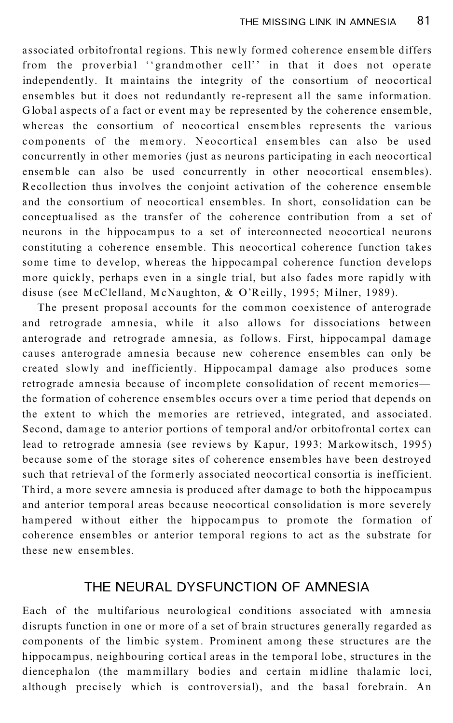associated orbitofrontal regions. This newly formed coherence ensem ble differs from the proverbial "grandmother cell' in that it does not operate independently. It maintains the integrity of the consortium of neocortical ensembles but it does not redundantly re-represent all the same information. Global aspects of a fact or event m ay be represented by the coherence ensem ble, whereas the consortium of neocortical ensembles represents the various components of the memory. Neocortical ensembles can also be used concurrently in other memories (just as neurons participating in each neocortical ensem ble can also be used concurrently in other neocortical ensembles). Recollection thus involves the conjoint activation of the coherence ensem ble and the consortium of neocortical ensembles. In short, consolidation can be conceptualised as the transfer of the coherence contribution from a set of neurons in the hippocam pus to a set of interconnected neocortical neurons constituting a coherence ensemble. This neocortical coherence function takes some time to develop, whereas the hippocampal coherence function develops more quickly, perhaps even in a single trial, but also fades more rapidly with disuse (see McClelland, McNaughton, & O'Reilly, 1995; Milner, 1989).

The present proposal accounts for the com mon coexistence of anterograde and retrograde am nesia, while it also allows for dissociations between anterograde and retrograde amnesia, as follows. First, hippocampal damage causes anterograde amnesia because new coherence ensembles can only be created slowly and inefficiently. Hippocampal dam age also produces some retrograde amnesia because of incomplete consolidation of recent memories the form ation of coherence ensem bles occurs over a time period that depends on the extent to which the memories are retrieved, integrated, and associated. Second, dam age to anterior portions of temporal and/or orbitofrontal cortex can lead to retrograde am nesia (see reviews by Kapur, 1993; M arkowitsch, 1995) because some of the storage sites of coherence ensembles have been destroyed such that retrieval of the formerly associated neocortical consortia is inefficient. Th ird, a more severe am nesia is produced after damage to both the hippocampus and anterior tem poral areas because neocortical consolidation is m ore severely hampered without either the hippocampus to promote the formation of coherence ensembles or anterior temporal regions to act as the substrate for these new ensembles.

#### THE NEURAL DYSFUNCTION OF AMNESIA

Each of the multifarious neurological conditions associated with amnesia disrupts function in one or m ore of a set of brain structures generally regarded as com ponents of the limbic system . Prominent among these structures are the hippocam pus, neighbouring cortical areas in the temporal lobe, structures in the diencephalon (the mam millary bodies and certain m idline thalamic loci, although precisely which is controversial), and the basal forebrain. An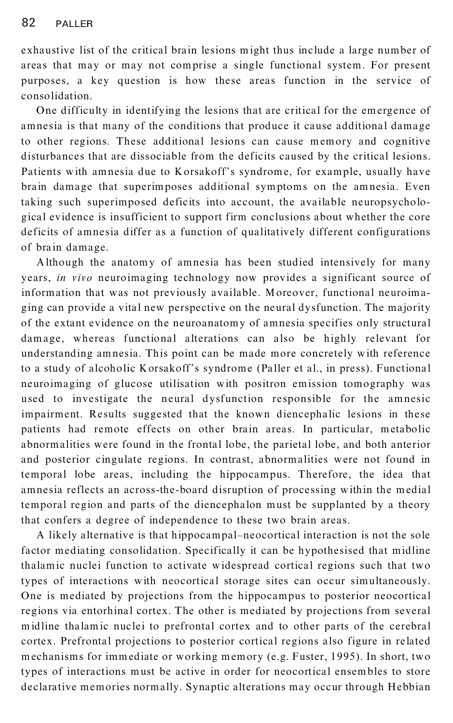exhaustive list of the critical brain lesions m ight thus include a large number of areas that may or may not com prise a single functional system. For present purposes, a key question is how these areas function in the service of consolidation.

One difficulty in identifying the lesions that are critical for the em ergence of amnesia is that many of the conditions that produce it cause additional damage to other regions. These additional lesions can cause memory and cognitive disturbances that are dissociable from the deficits caused by the critical lesions. Patients with amnesia due to Korsakoff's syndrome, for example, usually have brain damage that superim poses additional sym ptoms on the am nesia. Even taking such superimposed deficits into account, the available neuropsycholo gical evidence is insufficient to support firm conclusions about whether the core deficits of amnesia differ as a function of qualitatively different configurations of brain damage.

Although the anatomy of amnesia has been studied intensively for many years, *in vivo* neuroimaging technology now provides a significant source of inform ation that was not previously available. M oreover, functional neuroim a ging can provide a vital new perspective on the neural dysfunction. The majority of the extant evidence on the neuroanatomy of amnesia specifies only structural damage, whereas functional alterations can also be highly relevant for understanding am nesia. This point can be made more concretely with reference to a study of alcoholic Korsakoff's syndrome (Paller et al., in press). Functional neuroimaging of glucose utilisation with positron emission tomography was used to investigate the neural dysfunction responsible for the amnesic impairment. Results suggested that the known diencephalic lesions in these patients had remote effects on other brain areas. In particular, m etabolic abnorm alities were found in the frontal lobe, the parietal lobe, and both anterior and posterior cingulate regions. In contrast, abnorm alities were not found in temporal lobe areas, including the hippocampus. Therefore, the idea that amnesia reflects an across-the-board disruption of processing within the m edial temporal region and parts of the diencephalon must be supplanted by a theory that confers a degree of independence to these two brain areas.

A likely alternative is that hippocampal-neocortical interaction is not the sole factor mediating consolidation. Specifically it can be hypothesised that midline thalamic nuclei function to activate widespread cortical regions such that two types of interactions with neocortical storage sites can occur simultaneously. One is mediated by projections from the hippocampus to posterior neocortical regions via entorhinal cortex. The other is mediated by projections from several m idline thalam ic nuclei to prefrontal cortex and to other parts of the cerebral cortex. Prefrontal projections to posterior cortical regions also figure in related m echanisms for immediate or working memory (e.g. Fuster, 1995). In short, two types of interactions m ust be active in order for neocortical ensem bles to store declarative memories norm ally. Synaptic alterations may occur through Hebbian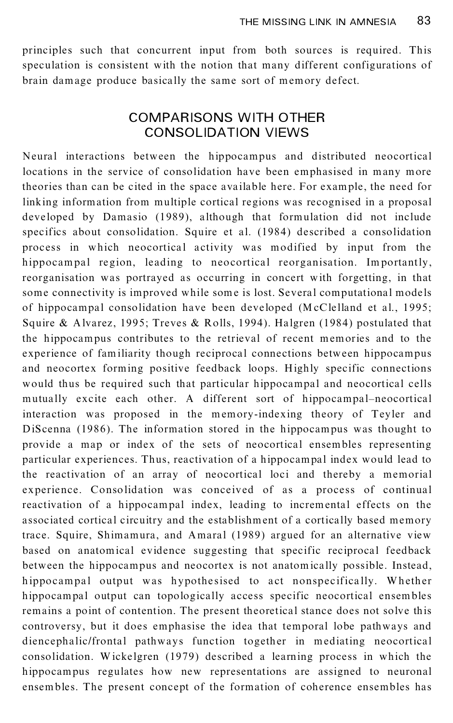principles such that concurrent input from both sources is required. This speculation is consistent with the notion that many different configurations of brain damage produce basically the same sort of memory defect.

#### COMPARISONS WITH OTHER CONSOLIDATION VIEWS

Neural interactions between the hippocampus and distributed neocortical locations in the service of consolidation have been emphasised in many more theories than can be cited in the space available here. For exam ple, the need for linking inform ation from multiple cortical regions was recognised in a proposal developed by Damasio (1989), although that formulation did not include specifics about consolidation. Squire et al. (1984) described a consolidation process in which neocortical activity was modified by input from the hippocampal region, leading to neocortical reorganisation. Importantly, reorganisation was portrayed as occurring in concert with forgetting, in that some connectivity is improved while some is lost. Several computational models of hippocampal consolidation have been developed (M cClelland et al., 1995; Squire & Alvarez, 1995; Treves & Rolls, 1994). Halgren (1984) postulated that the hippocampus contributes to the retrieval of recent memories and to the experience of fam iliarity though reciprocal connections between hippocampus and neocortex forming positive feedback loops. Highly specific connections would thus be required such that particular hippocampal and neocortical cells mutually excite each other. A different sort of hippocampal-neocortical interaction was proposed in the memory-indexing theory of Teyler and DiScenna (1986). The information stored in the hippocampus was thought to provide a map or index of the sets of neocortical ensem bles representing particular experiences. Thus, reactivation of a hippocam pal index would lead to the reactivation of an array of neocortical loci and thereby a memorial experience. Consolidation was conceived of as a process of continual reactivation of a hippocam palindex, leading to increm ental effects on the associated cortical circuitry and the establishment of a cortically based memory trace. Squire, Shimamura, and Amaral (1989) argued for an alternative view based on anatomical evidence suggesting that specific reciprocal feedback between the hippocampus and neocortex is not anatom ically possible. Instead, hippocampal output was hypothesised to act nonspecifically. Whether hippocam pal output can topologically access specific neocortical ensem bles rem ains a point of contention. The present theoretical stance does not solve this controversy, but it does emphasise the idea that temporal lobe pathways and diencephalic/frontal pathways function together in mediating neocortical consolidation. W ickelgren (1979) described a learning process in which the hippocam pus regulates how new representations are assigned to neuronal ensem bles. The present concept of the formation of coherence ensembles has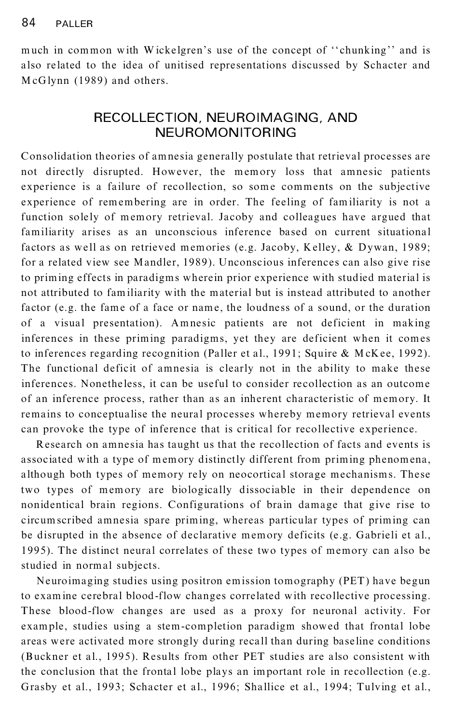much in common with Wickelgren's use of the concept of "chunking" and is also related to the idea of unitised representations discussed by Schacter and M cGlynn (1989) and others.

# RECOLLECTION, NEUROIMAGING, AND NEUROMONITORING

Consolidation theories of am nesia generally postulate that retrieval processes are not directly disrupted. However, the memory loss that amnesic patients experience is a failure of recollection, so some comments on the subjective experience of rem embering are in order. The feeling of fam iliarity is not a function solely of memory retrieval. Jacoby and colleagues have argued that familiarity arises as an unconscious inference based on current situational factors as well as on retrieved memories (e.g. Jacoby, Kelley, & Dywan, 1989; for a related view see Mandler, 1989). Unconscious inferences can also give rise to priming effects in paradigms wherein prior experience with studied material is not attributed to fam iliarity with the m aterial but is instead attributed to another factor (e.g. the fame of a face or name, the loudness of a sound, or the duration of a visual presentation). Amnesic patients are not deficient in making inferences in these priming paradigms, yet they are deficient when it comes to inferences regarding recognition (Paller et al., 1991; Squire & M cKee, 1992). The functional deficit of amnesia is clearly not in the ability to make these inferences. Nonetheless, it can be useful to consider recollection as an outcome of an inference process, rather than as an inherent characteristic of memory. It remains to conceptualise the neural processes whereby memory retrieval events can provoke the type of inference that is critical for recollective experience.

Research on amnesia has taught us that the recollection of facts and events is associated with a type of memory distinctly different from priming phenomena, although both types of memory rely on neocortical storage mechanism s. These two types of memory are biologically dissociable in their dependence on nonidentical brain regions. Configurations of brain damage that give rise to circum scribed amnesia spare priming, whereas particular types of priming can be disrupted in the absence of declarative memory deficits (e.g. Gabrieli et al., 1995). The distinct neural correlates of these two types of memory can also be studied in norm al subjects.

Neuroimaging studies using positron emission tomography (PET) have begun to exam ine cerebral blood -flow changes correlated with recollective processing. These blood-flow changes are used as a proxy for neuronal activity. For exam ple, studies using a stem-completion paradigm showed that frontal lobe areas were activated more strongly during recall than during baseline conditions (Buckner et al., 1995). Results from other PET studies are also consistent with the conclusion that the frontal lobe plays an im portant role in recollection (e.g. Grasby et al., 1993; Schacter et al., 1996; Shallice et al., 1994; Tulving et al.,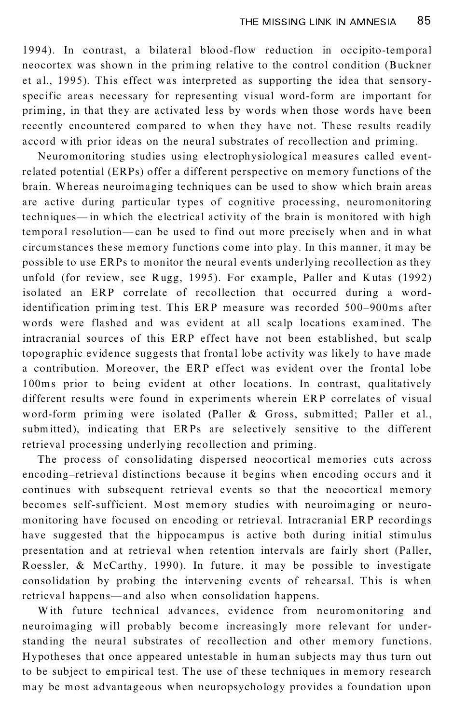1994). In contrast, a bilateral blood-flow reduction in occipito-temporal neocortex was shown in the prim ing relative to the control condition (Buckner et al., 1995). This effect was interpreted as supporting the idea that sensoryspecific areas necessary for representing visual word-form are important for priming, in that they are activated less by words when those words have been recently encountered com pared to when they have not. These results readily accord with prior ideas on the neural substrates of recollection and priming.

Neuromonitoring studies using electrophysiological m easures called eventrelated potential (ERPs) offer a different perspective on memory functions of the brain. W hereas neuroimaging techniques can be used to show which brain areas are active during particular types of cognitive processing, neuromonitoring techniques—in which the electrical activity of the brain is monitored with high temporal resolution—can be used to find out more precisely when and in what circum stances these memory functions come into play. In this manner, it may be possible to use ERPs to monitor the neural events underlying recollection as they unfold (for review, see Rugg, 1995). For example, Paller and Kutas (1992) isolated an ERP correlate of recollection that occurred during a wordidentification priming test. This ERP measure was recorded 500–900ms after words were flashed and was evident at all scalp locations examined. The intracranial sources of this ERP effect have not been established, but scalp topographic evidence suggests that frontal lobe activity was likely to have made a contribution. M oreover, the ERP effect was evident over the frontal lobe 100ms prior to being evident at other locations. In contrast, qualitatively different results were found in experiments wherein ERP correlates of visual word-form prim ing were isolated (Paller & Gross, submitted; Paller et al., subm itted), indicating that ERPs are selectively sensitive to the different retrieval processing underlying recollection and priming.

The process of consolidating dispersed neocortical memories cuts across encoding–retrieval distinctions because it begins when encoding occurs and it continues with subsequent retrieval events so that the neocortical memory becomes self-sufficient. Most memory studies with neuroimaging or neuromonitoring have focused on encoding or retrieval. Intracranial ERP recordings have suggested that the hippocampus is active both during initial stimulus presentation and at retrieval when retention intervals are fairly short (Paller, Roessler, & McCarthy, 1990). In future, it may be possible to investigate consolidation by probing the intervening events of rehearsal. This is when retrieval happens—and also when consolidation happens.

With future technical advances, evidence from neuromonitoring and neuroimaging will probably become increasingly more relevant for understanding the neural substrates of recollection and other memory functions. Hypotheses that once appeared untestable in human subjects may thus turn out to be subject to empirical test. The use of these techniques in memory research may be most advantageous when neuropsychology provides a foundation upon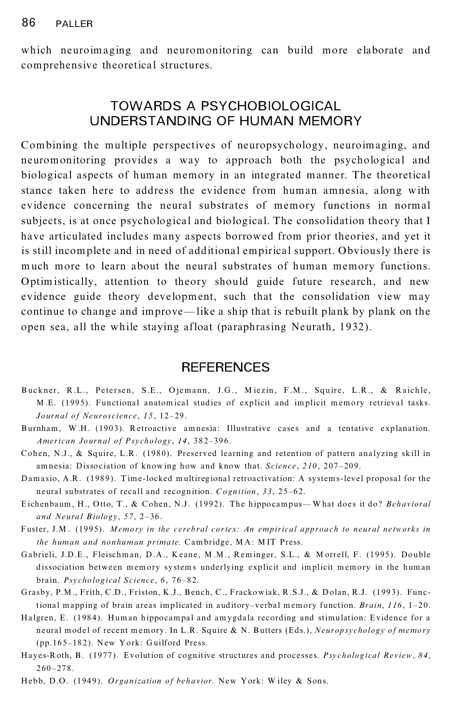which neuroimaging and neuromonitoring can build more elaborate and comprehensive theoretical structures.

## TOWARDS A PSYCHORIOLOGICAL UNDERSTANDING OF HUMAN MEMORY

Combining the multiple perspectives of neuropsychology, neuroimaging, and neuromonitoring provides a way to approach both the psychological and biological aspects of human memory in an integrated manner. The theoretical stance taken here to address the evidence from human amnesia, along with evidence concerning the neural substrates of memory functions in normal subjects, is at once psychological and biological. The consolidation theory that I have articulated includes many aspects borrowed from prior theories, and yet it is still incomplete and in need of additional empirical support. Obviously there is much more to learn about the neural substrates of human memory functions. Optimistically, attention to theory should guide future research, and new evidence guide theory development, such that the consolidation view may continue to change and improve—like a ship that is rebuilt plank by plank on the open sea, all the while staying afloat (paraphrasing Neurath, 1932).

#### **REFERENCES**

- Buckner, R.L., Petersen, S.E., Ojemann, J.G., Miezin, F.M., Squire, L.R., & Raichle, M.E. (1995). Functional anatomical studies of explicit and implicit memory retrieval tasks. Journal of Neuroscience, 15, 12-29.
- Burnham, W.H. (1903). Retroactive amnesia: Illustrative cases and a tentative explanation. American Journal of Psychology, 14, 382-396.
- Cohen, N.J., & Squire, L.R. (1980). Preserved learning and retention of pattern analyzing skill in amnesia: Dissociation of knowing how and know that. Science, 210, 207-209.
- Damasio, A.R. (1989). Time-locked multiregional retroactivation: A systems-level proposal for the neural substrates of recall and recognition. *Cognition*, 33, 25–62.
- Eichenbaum, H., Otto, T., & Cohen, N.J. (1992). The hippocampus—What does it do? Behavioral and Neural Biology, 57, 2-36.
- Fuster, J.M. (1995). Memory in the cerebral cortex: An empirical approach to neural networks in the human and nonhuman primate. Cambridge, MA: MIT Press.
- Gabrieli, J.D.E., Fleischman, D.A., Keane, M.M., Reminger, S.L., & Morrell, F. (1995). Double dissociation between memory systems underlying explicit and implicit memory in the human brain. Psychological Science, 6, 76-82.
- Grasby, P.M., Frith, C.D., Friston, K.J., Bench, C., Frackowiak, R.S.J., & Dolan, R.J. (1993). Functional mapping of brain areas implicated in auditory-verbal memory function. Brain,  $116$ ,  $1-20$ .
- Halgren, E. (1984). Human hippocampal and amygdala recording and stimulation: Evidence for a neural model of recent memory. In L.R. Squire & N. Butters (Eds.), Neuropsychology of memory (pp.165-182). New York: Guilford Press.
- Hayes-Roth, B. (1977). Evolution of cognitive structures and processes. Psychological Review, 84,  $260 - 278$ .
- Hebb, D.O. (1949). Organization of behavior. New York: Wiley & Sons.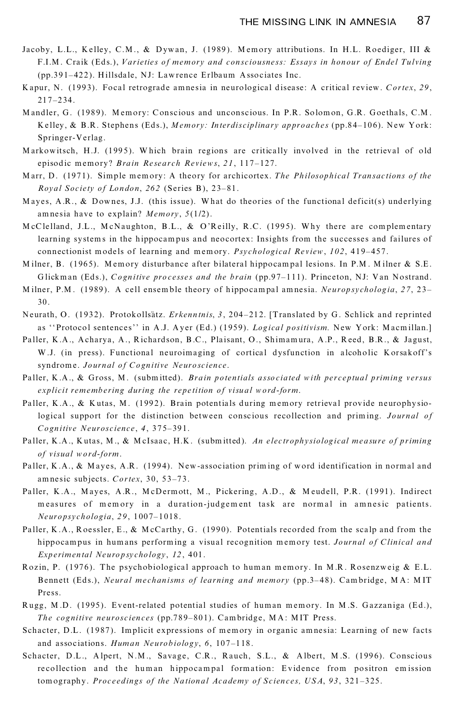- Jacoby, L.L., Kelley, C.M., & Dywan, J. (1989). Memory attributions. In H.L. Roediger, III & F.I.M. Craik (Eds.), Varieties of memory and consciousness: Essays in honour of Endel Tulving (pp.391-422). Hillsdale, NJ: Lawrence Erlbaum Associates Inc.
- Kapur, N. (1993). Focal retrograde amnesia in neurological disease: A critical review. Cortex, 29,  $217 - 234$ .
- Mandler, G. (1989). Memory: Conscious and unconscious. In P.R. Solomon, G.R. Goethals, C.M. Kelley, & B.R. Stephens (Eds.), Memory: Interdisciplinary approaches (pp.84–106). New York: Springer-Verlag.
- Markowitsch, H.J. (1995). Which brain regions are critically involved in the retrieval of old episodic memory? Brain Research Reviews, 21, 117-127.
- Marr, D. (1971). Simple memory: A theory for archicortex. The Philosophical Transactions of the Royal Society of London, 262 (Series B), 23-81.
- Mayes, A.R., & Downes, J.J. (this issue). What do theories of the functional deficit(s) underlying amnesia have to explain? Memory, 5(1/2).
- McClelland, J.L., McNaughton, B.L., & O'Reilly, R.C. (1995). Why there are complementary learning systems in the hippocampus and neocortex: Insights from the successes and failures of connectionist models of learning and memory. *Psychological Review*, 102, 419–457.
- Milner, B. (1965). Memory disturbance after bilateral hippocampal lesions. In P.M. Milner & S.E. Glickman (Eds.), *Cognitive processes and the brain* (pp.97-111). Princeton, NJ: Van Nostrand.
- Milner, P.M. (1989). A cell ensemble theory of hippocampal amnesia. Neuropsychologia, 27, 23-30
- Neurath, O. (1932). Protokollsätz. Erkenntnis, 3, 204-212. [Translated by G. Schlick and reprinted as "Protocol sentences" in A.J. Ayer (Ed.) (1959). Logical positivism. New York: Macmillan.]
- Paller, K.A., Acharya, A., Richardson, B.C., Plaisant, O., Shimamura, A.P., Reed, B.R., & Jagust, W.J. (in press). Functional neuroimaging of cortical dysfunction in alcoholic Korsakoff's syndrome. Journal of Cognitive Neuroscience.
- Paller, K.A., & Gross, M. (submitted). Brain potentials associated with perceptual priming versus explicit remembering during the repetition of visual word-form.
- Paller, K.A., & Kutas, M. (1992). Brain potentials during memory retrieval provide neurophysiological support for the distinction between conscious recollection and priming. Journal of Cognitive Neuroscience, 4, 375-391.
- Paller, K.A., Kutas, M., & McIsaac, H.K. (submitted). An electrophysiological measure of priming of visual word-form.
- Paller, K.A., & Mayes, A.R. (1994). New-association priming of word identification in normal and amnesic subjects. Cortex, 30, 53-73.
- Paller, K.A., Mayes, A.R., McDermott, M., Pickering, A.D., & Meudell, P.R. (1991). Indirect measures of memory in a duration-judgement task are normal in amnesic patients. Neuropsychologia, 29, 1007-1018.
- Paller, K.A., Roessler, E., & McCarthy, G. (1990). Potentials recorded from the scalp and from the hippocampus in humans performing a visual recognition memory test. Journal of Clinical and Experimental Neuropsychology, 12, 401.
- Rozin, P. (1976). The psychobiological approach to human memory. In M.R. Rosenzweig & E.L. Bennett (Eds.), Neural mechanisms of learning and memory (pp.3-48). Cambridge, MA: MIT Press.
- Rugg, M.D. (1995). Event-related potential studies of human memory. In M.S. Gazzaniga (Ed.), The cognitive neurosciences (pp.789-801). Cambridge, MA: MIT Press.
- Schacter, D.L. (1987). Implicit expressions of memory in organic amnesia: Learning of new facts and associations. Human Neurobiology, 6, 107-118.
- Schacter, D.L., Alpert, N.M., Savage, C.R., Rauch, S.L., & Albert, M.S. (1996). Conscious recollection and the human hippocampal formation: Evidence from positron emission tomography. Proceedings of the National Academy of Sciences, USA, 93, 321-325.